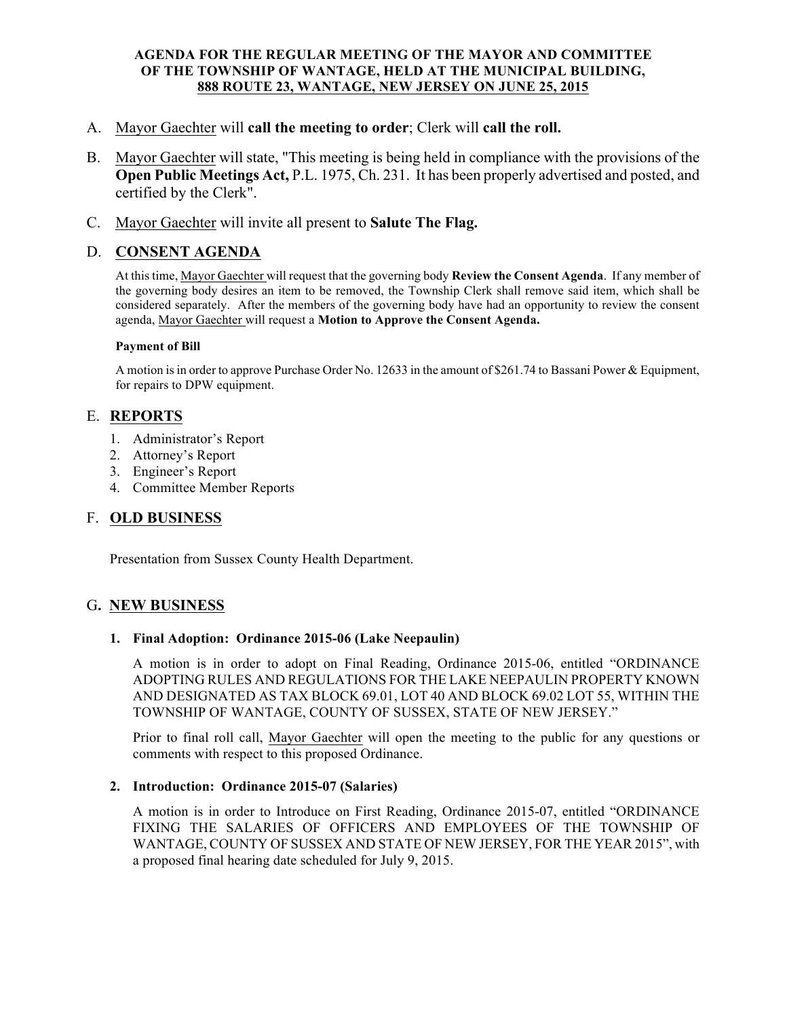### AGENDA FOR THE REGULAR MEETING OF THE MAYOR AND COMMITTEE OF THE TOWNSHIP OF WANTAGE, HELD AT THE MUNICIPAL BUILDING, 888 ROUTE 23, WANTAGE, NEW JERSEY ON JUNE 25, 2015

- A. Mayor Gaechter will call the meeting to order; Clerk will call the roll.
- B. Mayor Gaechter will state, "This meeting is being held in compliance with the provisions of the Open Public Meetings Act, P.L. 1975, Ch. 231. It has been properly advertised and posted, and certified by the Clerk".
- C. Mayor Gaechter will invite all present to Salute The Flag.

# D. CONSENT AGENDA

At this time, Mayor Gaechter will request that the governing body Review the Consent Agenda. If any member of the governing body desires an item to be removed, the Township Clerk shall remove said item, which shall be considered separately. After the members of the governing body have had an opportunity to review the consent agenda, Mayor Gaechter will request a Motion to Approve the Consent Agenda.

#### Payment of Bill

A motion is in order to approve Purchase Order No. 12633 in the amount of \$261.74 to Bassani Power & Equipment, for repairs to DPW equipment.

# E. REPORTS

- 1. Administrator's Report
- 2. Attorney's Report
- 3. Engineer's Report
- 4. Committee Member Reports

## F. OLD BUSINESS

Presentation from Sussex County Health Department.

## G. NEW BUSINESS

#### 1. Final Adoption: Ordinance 2015-06 (Lake Neepaulin)

A motion is in order to adopt on Final Reading, Ordinance 2015-06, entitled "ORDINANCE ADOPTING RULES AND REGULATIONS FOR THE LAKE NEEPAULIN PROPERTY KNOWN AND DESIGNATED AS TAX BLOCK 69.01, LOT 40 AND BLOCK 69.02 LOT 55, WITHIN THE TOWNSHIP OF WANTAGE, COUNTY OF SUSSEX, STATE OF NEW JERSEY."

Prior to final roll call, Mayor Gaechter will open the meeting to the public for any questions or comments with respect to this proposed Ordinance.

#### 2. Introduction: Ordinance 2015-07 (Salaries)

A motion is in order to Introduce on First Reading, Ordinance 2015-07, entitled "ORDINANCE FIXING THE SALARIES OF OFFICERS AND EMPLOYEES OF THE TOWNSHIP OF WANTAGE, COUNTY OF SUSSEX AND STATE OF NEW JERSEY, FOR THE YEAR 2015", with a proposed final hearing date scheduled for July 9, 2015.